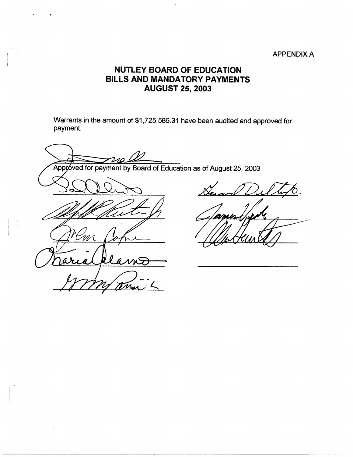## APPENDIX A

## **NUTLEY BOARD OF EDUCATION BILLS AND MANDATORY PAYMENTS AUGUST 25, 2003**

Warrants in the amount of \$1,725,586.31 have been audited and approved for payment.

 $210$ 

Approved for payment by Board of Education as of August 25, 2003

Mar

 $\begin{pmatrix} 1 & 1 \\ 1 & 1 \end{pmatrix}$ 

I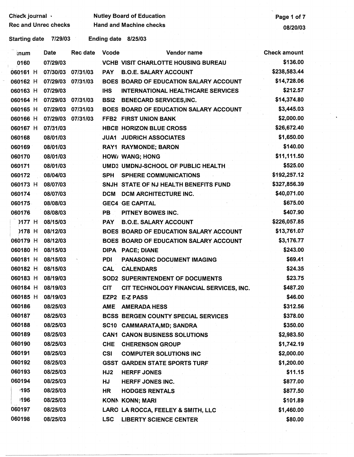Check journal ·

ext Nutley Board of Education **Page 1 of 7** Nutley Board of Education

Starting date 7/29/03 Ending date 8/25/03

| ็เทนm      | Date     | Rec date          | <b>Vcode</b>    | Vendor name                                | <b>Check amount</b> |
|------------|----------|-------------------|-----------------|--------------------------------------------|---------------------|
| 0160       | 07/29/03 |                   |                 | <b>VCHB VISIT CHARLOTTE HOUSING BUREAU</b> | \$136.00            |
| 060161 H   | 07/30/03 | 07/31/03          | <b>PAY</b>      | <b>B.O.E. SALARY ACCOUNT</b>               | \$238,583.44        |
| 060162 H   | 07/29/03 | 07/31/03          |                 | BOES BOARD OF EDUCATION SALARY ACCOUNT     | \$14,728.06         |
| 060163 H   | 07/29/03 |                   | <b>IHS</b>      | <b>INTERNATIONAL HEALTHCARE SERVICES</b>   | \$212.57            |
| 060164 H   |          | 07/29/03 07/31/03 | <b>BSI2</b>     | <b>BENECARD SERVICES, INC.</b>             | \$14,374.80         |
| 060165 H   |          | 07/29/03 07/31/03 |                 | BOES BOARD OF EDUCATION SALARY ACCOUNT     | \$3,445.03          |
| 060166 H   | 07/29/03 | 07/31/03          |                 | FFB2 FIRST UNION BANK                      | \$2,000.00          |
| 060167 H   | 07/31/03 |                   |                 | <b>HBCE HORIZON BLUE CROSS</b>             | \$26,672.40         |
| 060168     | 08/01/03 |                   |                 | <b>JUA1 JUDRICH ASSOCIATES</b>             | \$1,650.00          |
| 060169     | 08/01/03 |                   |                 | RAY1 RAYMONDE; BARON                       | \$140.00            |
| 060170     | 08/01/03 |                   |                 | HOW/ WANG; HONG                            | \$11,111.50         |
| 060171     | 08/01/03 |                   |                 | UMD3 UMDNJ-SCHOOL OF PUBLIC HEALTH         | \$525.00            |
| 060172     | 08/04/03 |                   | <b>SPH</b>      | <b>SPHERE COMMUNICATIONS</b>               | \$192,257.12        |
| 060173 H   | 08/07/03 |                   |                 | SNJH STATE OF NJ HEALTH BENEFITS FUND      | \$327,856.39        |
| 060174     | 08/07/03 |                   | <b>DCM</b>      | DCM ARCHITECTURE INC.                      | \$40,071.00         |
| 060175     | 08/08/03 |                   |                 | <b>GEC4 GE CAPITAL</b>                     | \$675.00            |
| 060176     | 08/08/03 |                   | PB -            | PITNEY BOWES INC.                          | \$407.90            |
| $)177$ H   | 08/15/03 |                   | <b>PAY</b>      | <b>B.O.E. SALARY ACCOUNT</b>               | \$226,057.85        |
| 0178 H     | 08/12/03 |                   |                 | BOES BOARD OF EDUCATION SALARY ACCOUNT     | \$13,761.07         |
| 060179 H   | 08/12/03 |                   |                 | BOES BOARD OF EDUCATION SALARY ACCOUNT     | \$3,176.77          |
| 060180 H   | 08/15/03 |                   | <b>DIPA</b>     | <b>PACE; DIANE</b>                         | \$243.00            |
| 060181 H   | 08/15/03 |                   | <b>PDI</b>      | PANASONIC DOCUMENT IMAGING                 | \$69.41             |
| 060182 H   | 08/15/03 |                   | <b>CAL</b>      | <b>CALENDARS</b>                           | \$24.35             |
| 060183 H   | 08/19/03 |                   |                 | <b>SOD2 SUPERINTENDENT OF DOCUMENTS</b>    | \$23.75             |
| 060184 H   | 08/19/03 |                   | <b>CIT</b>      | CIT TECHNOLOGY FINANCIAL SERVICES, INC.    | \$487.20            |
| 060185 H   | 08/19/03 |                   |                 | EZP2 E-Z PASS                              | \$46.00             |
| 060186     | 08/25/03 |                   |                 | AME AMERADA HESS                           | \$312.56            |
| 060187     | 08/25/03 |                   |                 | BCSS BERGEN COUNTY SPECIAL SERVICES        | \$378.00            |
| 060188     | 08/25/03 |                   |                 | SC10 CAMMARATA, MD; SANDRA                 | \$350.00            |
| 060189     | 08/25/03 |                   |                 | <b>CAN1 CANON BUSINESS SOLUTIONS</b>       | \$2,983.50          |
| 060190     | 08/25/03 |                   | <b>CHE</b>      | <b>CHERENSON GROUP</b>                     | \$1,742.19          |
| 060191     | 08/25/03 |                   | <b>CSI</b>      | <b>COMPUTER SOLUTIONS INC</b>              | \$2,000.00          |
| 060192     | 08/25/03 |                   |                 | <b>GSST GARDEN STATE SPORTS TURF</b>       | \$1,200.00          |
| 060193     | 08/25/03 |                   | HJ <sub>2</sub> | <b>HERFF JONES</b>                         | \$11.15             |
| 060194     | 08/25/03 |                   | <b>HJ</b>       | <b>HERFF JONES INC.</b>                    | \$877.00            |
| 195        | 08/25/03 |                   | HR              | <b>HODGES RENTALS</b>                      | \$877.50            |
| <b>196</b> | 08/25/03 |                   |                 | <b>KONN KONN; MARI</b>                     | \$101.89            |
| 060197     | 08/25/03 |                   |                 | LARO LA ROCCA, FEELEY & SMITH, LLC         | \$1,460.00          |
| 060198     | 08/25/03 |                   | <b>LSC</b>      | <b>LIBERTY SCIENCE CENTER</b>              | \$80.00             |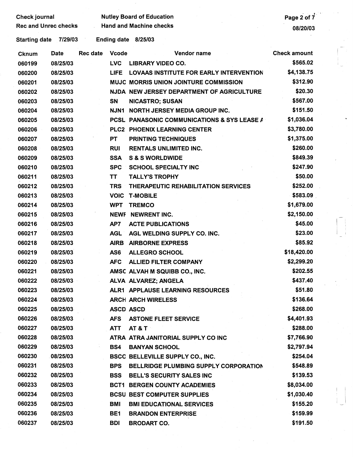Check journal **Nutley Board of Education** 

Rec and Unrec checks Hand and Machine checks **Exercía and Machine checks** 08/20/03 Starting date 7/29/03 Ending date 8/25/03 Cknum Date Rec date Vcode Vendor name Check amount 060199 08/25/03 LVC **LIBRARY** VIDEO CO. \$565.02 060200 08/25/03 LIFE LOVAAS INSTITUTE FOR EARLY INTERVENTION \$4,138.75 060201 08/25/03 MUJC MORRIS UNION JOINTURE COMMISSION \$312.90 060202 08/25/03 NJDA NEW JERSEY DEPARTMENT OF AGRICULTURE \$20.30 060203 08/25/03 **SN** NICASTRO; SUSAN \$567.00 060204 08/25/03 NJN1 NORTH JERSEY MEDIA GROUP INC. \$151.50 060205 08/25/03 PCSL PANASONIC COMMUNICATIONS & SYS LEASE A \$1,036.04 060206 08/25/03 PLC2 PHOENIX LEARNING CENTER \$3,780.00 060207 08/25/03 PT PRINTING TECHNIQUES \$1,375.00 060208 08/25/03 RUI RENTALS UNLIMITED INC. \$260.00 060209 08/25/03 **SSA** S & S WORLDWIDE \$849.39 060210 08/25/03 SPC SCHOOL SPECIAL TY INC \$247.90 060211 08/25/03 TT TALL Y'S TROPHY \$50.00 060212 08/25/03 TRS THERAPEUTIC REHABILITATION SERVICES \$252.00 060213 08/25/03 VOIC T-MOBILE \$583.09. 060214 08/25/03 WPT TREMCO \$1,679.00 060215 08/25/03 NEWF NEWRENT INC. \$2,150.00 060216 08/25/03 AP7 ACTE PUBLICATIONS \$45.00 060217 08/25/03 AGL AGL WELDING SUPPLY CO. INC. \$23.00 060218 08/25/03 AIRB AIRBORNE EXPRESS \$85.92 060219 08/25/03 AS6 ALLEGRO SCHOOL \$18,420.00 060220 08/25/03 AFC ALLIED FILTER COMPANY \$2,299.20 060221 08/25/03 AMSC ALVAH M **SQUIBB** CO., INC. \$202.55 060222 08/25/03 ALVA ALVAREZ;ANGELA \$437.40 060223 08/25/03 ALR1 APPLAUSE LEARNING RESOURCES \$51.80 060224 08/25/03 ARCH ARCH WIRELESS \$136.64 060225 08/25/03 ASCD ASCD \$268.00 060226 08/25/03 AFS ASTONE FLEET SERVICE AFS \$4.401.93 060227 08/25/03 ATT AT&T· \$288.00 060228 08/25/03 ATRA ATRA JANITORIAL SUPPLY CO INC \$7,766.90 060229 08/25/03 BS4 **BANYAN** SCHOOL \$2,797.94 060230 **.08/25/03** BSCC BELLEVILLE SUPPLY CO., INC. **\$254.04**  060231 08/25/03 BPS BELLRIDGE PLUMBING SUPPLY CORPORATION \$548.89 060232 08/25/03 **BSS** BELL'S SECURITY SALES INC \$139.53 060233 08/25/03 BCT1 BERGEN COUNTY ACADEMIES \$8,034.00 060234 08/25/03 BCSU BEST COMPUTER SUPPLIES \$1,030.40 060235 08/25/03 **BMI** BMI EDUCATIONAL SERVICES \$155.20 060236 08/25/03 BE1 **BRANDON** ENTERPRISE **\$159.99**  ' 060237 08/25/03 **BDI** BRODARTCO. \$191.50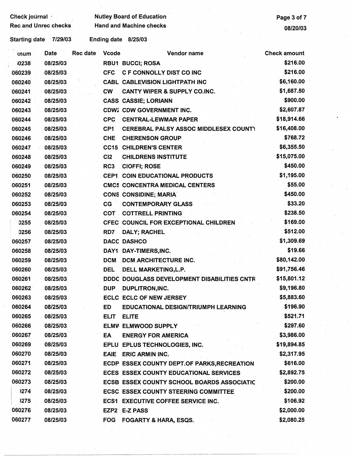Check journal , Nutley Board of Education<br>Rec and Unrec checks Hand and Machine checks (Page 3 of 7 Rec and Machine checks and Machine checks and December 2012 08/20/03

Starting date 7/29/03 Ending date 8/25/03

| knum         | Date     | Rec date | <b>Vcode</b>    | Vendor name                                        | <b>Check amount</b> |
|--------------|----------|----------|-----------------|----------------------------------------------------|---------------------|
| <b>10238</b> | 08/25/03 |          |                 | <b>RBU1 BUCCI; ROSA</b>                            | \$216.00            |
| 060239       | 08/25/03 |          | <b>CFC</b>      | <b>C F CONNOLLY DIST CO INC</b>                    | \$216.00            |
| 060240       | 08/25/03 |          |                 | <b>CABL CABLEVISION LIGHTPATH INC</b>              | \$6,160.00          |
| 060241       | 08/25/03 |          | <b>CW</b>       | <b>CANTY WIPER &amp; SUPPLY CO.INC.</b>            | \$1,687.50          |
| 060242       | 08/25/03 |          |                 | <b>CASS CASSIE; LORIANN</b>                        | \$900.00            |
| 060243       | 08/25/03 |          |                 | <b>CDW2 CDW GOVERNMENT INC.</b>                    | \$2,607.87          |
| 060244       | 08/25/03 |          | <b>CPC</b>      | <b>CENTRAL-LEWMAR PAPER</b>                        | \$18,914.66         |
| 060245       | 08/25/03 |          | CP <sub>1</sub> | <b>CEREBRAL PALSY ASSOC MIDDLESEX COUNTY</b>       | \$16,408.00         |
| 060246       | 08/25/03 |          | <b>CHE</b>      | <b>CHERENSON GROUP</b>                             | \$768.72            |
| 060247       | 08/25/03 |          |                 | <b>CC15 CHILDREN'S CENTER</b>                      | \$6,355.50          |
| 060248       | 08/25/03 |          | CI2             | <b>CHILDRENS INSTITUTE</b>                         | \$15,075.00         |
| 060249       | 08/25/03 |          | RC <sub>3</sub> | <b>CIOFFI; ROSE</b>                                | \$450.00            |
| 060250       | 08/25/03 |          | CEP1            | <b>COIN EDUCATIONAL PRODUCTS</b>                   | \$1,195.00          |
| 060251       | 08/25/03 |          |                 | <b>CMC5 CONCENTRA MEDICAL CENTERS</b>              | \$55.00             |
| 060252       | 08/25/03 |          |                 | <b>CONS CONSIDINE; MARIA</b>                       | \$450.00            |
| 060253       | 08/25/03 |          | CG              | <b>CONTEMPORARY GLASS</b>                          | \$33.20             |
| 060254       | 08/25/03 |          | <b>COT</b>      | <b>COTTRELL PRINTING</b>                           | \$238.50            |
| 0255         | 08/25/03 |          |                 | CFEC COUNCIL FOR EXCEPTIONAL CHILDREN              | \$169.00            |
| 0256         | 08/25/03 |          | RD7             | DALY; RACHEL                                       | \$512.00            |
| 060257       | 08/25/03 |          |                 | <b>DACC DASHCO</b>                                 | \$1,309.69          |
| 060258       | 08/25/03 |          | DAY1            | DAY-TIMERS, INC.                                   | \$19.66             |
| 060259       | 08/25/03 |          | <b>DCM</b>      | DCM ARCHITECTURE INC.                              | \$80,142.00         |
| 060260       | 08/25/03 |          | <b>DEL</b>      | DELL MARKETING, L.P.                               | \$91,756.46         |
| 060261       | 08/25/03 |          |                 | <b>DDDC DOUGLASS DEVELOPMENT DISABILITIES CNTR</b> | \$15,801.12         |
| 060262       | 08/25/03 |          | <b>DUP</b>      | DUPLITRON, INC.                                    | \$9,196.80          |
| 060263       | 08/25/03 |          |                 | <b>ECLC ECLC OF NEW JERSEY</b>                     | \$5,883.60          |
| 060264       | 08/25/03 |          | <b>ED</b>       | EDUCATIONAL DESIGN/TRIUMPH LEARNING                | \$196.90            |
| 060265       | 08/25/03 |          | <b>ELIT</b>     | <b>ELITE</b>                                       | \$521.71            |
| 060266       | 08/25/03 |          |                 | <b>ELMW ELMWOOD SUPPLY</b>                         | \$297.60            |
| 060267       | 08/25/03 |          | EA              | <b>ENERGY FOR AMERICA</b>                          | \$3,986.00          |
| 060269       | 08/25/03 |          |                 | EPLU EPLUS TECHNOLOGIES, INC.                      | \$19,894.85         |
| 060270       | 08/25/03 |          | <b>EAIE</b>     | <b>ERIC ARMIN INC.</b>                             | \$2,317.95          |
| 060271       | 08/25/03 |          |                 | ECDP ESSEX COUNTY DEPT.OF PARKS, RECREATION        | \$616.00            |
| 060272       | 08/25/03 |          |                 | <b>ECES ESSEX COUNTY EDUCATIONAL SERVICES</b>      | \$2,892.75          |
| 060273       | 08/25/03 |          |                 | ECSB ESSEX COUNTY SCHOOL BOARDS ASSOCIATIC         | \$200.00            |
| 1274         | 08/25/03 |          |                 | <b>ECSC ESSEX COUNTY STEERING COMMITTEE</b>        | \$200.00            |
| 1275         | 08/25/03 |          |                 | <b>ECS1 EXECUTIVE COFFEE SERVICE INC.</b>          | \$106.92            |
| 060276       | 08/25/03 |          |                 | EZP2 E-Z PASS                                      | \$2,000.00          |
| 060277       | 08/25/03 |          | <b>FOG</b>      | <b>FOGARTY &amp; HARA, ESQS.</b>                   | \$2,080.25          |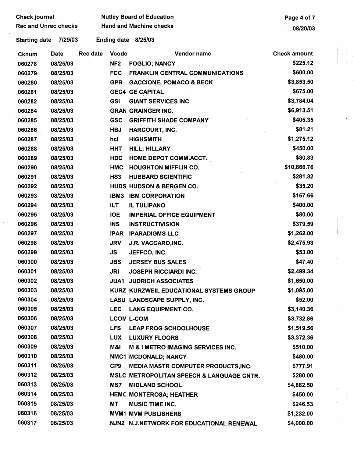| <b>Check journal</b><br><b>Rec and Unrec checks</b> |             |          | <b>Nutley Board of Education</b> | Page 4 of 7<br>08/20/03                        |                     |
|-----------------------------------------------------|-------------|----------|----------------------------------|------------------------------------------------|---------------------|
|                                                     |             |          | <b>Hand and Machine checks</b>   |                                                |                     |
| <b>Starting date</b>                                | 7/29/03     |          | <b>Ending date</b>               | 8/25/03                                        |                     |
| <b>Cknum</b>                                        | <b>Date</b> | Rec date | <b>Vcode</b>                     | Vendor name                                    | <b>Check amount</b> |
| 060278                                              | 08/25/03    |          | NF <sub>2</sub>                  | <b>FOGLIO; NANCY</b>                           | \$225.12            |
| 060279                                              | 08/25/03    |          | <b>FCC</b>                       | <b>FRANKLIN CENTRAL COMMUNICATIONS</b>         | \$600.00            |
| 060280                                              | 08/25/03    |          | <b>GPB</b>                       | <b>GACCIONE, POMACO &amp; BECK</b>             | \$3,853.50          |
| 060281                                              | 08/25/03    |          |                                  | <b>GEC4 GE CAPITAL</b>                         | \$675.00            |
| 060282                                              | 08/25/03    |          | <b>GSI</b>                       | <b>GIANT SERVICES INC</b>                      | \$3,784.04          |
| 060284                                              | 08/25/03    |          |                                  | <b>GRAN GRAINGER INC.</b>                      | \$6,913.51          |
| 060285                                              | 08/25/03    |          | <b>GSC</b>                       | <b>GRIFFITH SHADE COMPANY</b>                  | \$405.35            |
| 060286                                              | 08/25/03    |          | <b>HBJ</b>                       | <b>HARCOURT, INC.</b>                          | \$81.21             |
| 060287                                              | 08/25/03    |          | hci                              | <b>HIGHSMITH</b>                               | \$1,275.12          |
| 060288                                              | 08/25/03    |          | <b>HHT</b>                       | <b>HILL; HILLARY</b>                           | \$450.00            |
| 060289                                              | 08/25/03    |          | <b>HDC</b>                       | <b>HOME DEPOT COMM.ACCT.</b>                   | \$80.83             |
| 060290                                              | 08/25/03    |          | HMC                              | <b>HOUGHTON MIFFLIN CO.</b>                    | \$10,866.76         |
| 060291                                              | 08/25/03    |          | HS <sub>3</sub>                  | <b>HUBBARD SCIENTIFIC</b>                      | \$281.32            |
| 060292                                              | 08/25/03    |          |                                  | HUDS HUDSON & BERGEN CO.                       | \$35.20             |
| 060293                                              | 08/25/03    |          | IBM3                             | <b>IBM CORPORATION</b>                         | \$167.66            |
| 060294                                              | 08/25/03    |          | <b>ILT</b>                       | <b>IL TULIPANO</b>                             | \$400.00            |
| 060295                                              | 08/25/03    |          | <b>IOE</b>                       | <b>IMPERIAL OFFICE EQUIPMENT</b>               | \$80.00             |
| 060296                                              | 08/25/03    |          | <b>INS</b>                       | <b>INSTRUCTIVISION</b>                         | \$379.59            |
| 060297                                              | 08/25/03    |          | <b>IPAR</b>                      | <b>IPARADIGMS LLC</b>                          | \$1,262.00          |
| 060298                                              | 08/25/03    |          | <b>JRV</b>                       | J.R. VACCARO, INC.                             | \$2,475.93          |
| 060299                                              | 08/25/03    |          | JS.                              | JEFFCO, INC.                                   | \$53.00             |
| 060300                                              | 08/25/03    |          | <b>JBS</b>                       | <b>JERSEY BUS SALES</b>                        | \$47.40             |
| 060301                                              | 08/25/03    |          | JRI                              | <b>JOSEPH RICCIARDI INC.</b>                   | \$2,499.34          |
| 060302                                              | 08/25/03    |          | JUA1                             | <b>JUDRICH ASSOCIATES</b>                      | \$1,650.00          |
| 060303                                              | 08/25/03    |          |                                  | <b>KURZ KURZWEIL EDUCATIONAL SYSTEMS GROUP</b> | \$1,095.00          |
| 060304                                              | 08/25/03    |          |                                  | LASU LANDSCAPE SUPPLY, INC.                    | \$52.00             |
| 060305                                              | 08/25/03    |          | <b>LEC</b>                       | <b>LANG EQUIPMENT CO.</b>                      | \$3,140.36          |
| 060306                                              | 08/25/03    |          |                                  | <b>LCON L-COM</b>                              | \$3,732.86          |
| 060307                                              | 08/25/03    |          | LFS.                             | <b>LEAP FROG SCHOOLHOUSE</b>                   | \$1,519.56          |
| 060308                                              | 08/25/03    |          | <b>LUX</b>                       | <b>LUXURY FLOORS</b>                           | \$3,372.36          |
| 060309                                              | 08/25/03    |          | M&I                              | M & I METRO IMAGING SERVICES INC.              | \$510.00            |
| 060310                                              | 08/25/03    |          |                                  | NMC1 MCDONALD; NANCY                           | \$480.00            |
| 060311                                              | 08/25/03    |          | CP <sub>9</sub>                  | MEDIA MASTR COMPUTER PRODUCTS, INC.            | \$777.91            |
| 060312                                              | 08/25/03    |          |                                  | MSLC METROPOLITAN SPEECH & LANGUAGE CNTR.      | \$280.00            |
| 060313                                              | 08/25/03    |          | MS7                              | <b>MIDLAND SCHOOL</b>                          | \$4,882.50          |
| 060314                                              | 08/25/03    |          |                                  | HEMC MONTEROSA; HEATHER                        | \$450.00            |
| 060315                                              | 08/25/03    |          | МT                               | <b>MUSIC TIME INC.</b>                         | \$246.53            |
| 060316                                              | 08/25/03    |          |                                  | <b>MVM1 MVM PUBLISHERS</b>                     | \$1,232.00          |
| 060317                                              | 08/25/03    |          |                                  | NJN2 N.J.NETWORK FOR EDUCATIONAL RENEWAL       | \$4,000.00          |

 $\sim$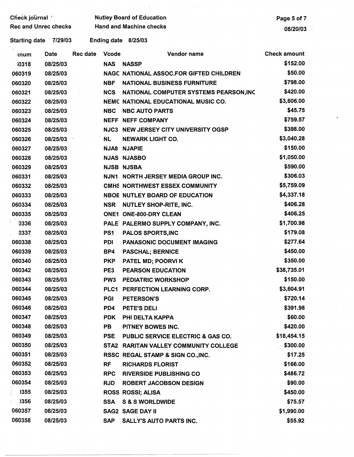| Check journal               |          | <b>Nutley Board of Education</b> | Page 5 of 7     |                                                |                     |
|-----------------------------|----------|----------------------------------|-----------------|------------------------------------------------|---------------------|
| <b>Rec and Unrec checks</b> |          | <b>Hand and Machine checks</b>   |                 |                                                |                     |
| <b>Starting date</b>        | 7/29/03  |                                  |                 | Ending date 8/25/03                            |                     |
| <b>knum</b>                 | Date     | <b>Rec date</b>                  | <b>Vcode</b>    | Vendor name                                    | <b>Check amount</b> |
| 10318                       | 08/25/03 |                                  | <b>NAS</b>      | <b>NASSP</b>                                   | \$152.00            |
| 060319                      | 08/25/03 |                                  |                 | <b>NAGC NATIONAL ASSOC.FOR GIFTED CHILDREN</b> | \$50.00             |
| 060320                      | 08/25/03 |                                  | <b>NBF</b>      | <b>NATIONAL BUSINESS FURNITURE</b>             | \$798.00            |
| 060321                      | 08/25/03 |                                  | <b>NCS</b>      | NATIONAL COMPUTER SYSTEMS PEARSON, INC         | \$420.00            |
| 060322                      | 08/25/03 |                                  |                 | NEMC NATIONAL EDUCATIONAL MUSIC CO.            | \$3,606.00          |
| 060323                      | 08/25/03 |                                  | <b>NBC</b>      | <b>NBC AUTO PARTS</b>                          | \$45.75             |
| 060324                      | 08/25/03 |                                  |                 | <b>NEFF NEFF COMPANY</b>                       | \$759.57            |
| 060325                      | 08/25/03 |                                  |                 | NJC3 NEW JERSEY CITY UNIVERSITY OGSP           | \$398.00            |
| 060326                      | 08/25/03 |                                  | <b>NL</b>       | <b>NEWARK LIGHT CO.</b>                        | \$3,040.28          |
| 060327                      | 08/25/03 |                                  |                 | <b>NJA8 NJAPIE</b>                             | \$150.00            |
| 060328                      | 08/25/03 |                                  |                 | <b>NJAS NJASBO</b>                             | \$1,050.00          |
| 060329                      | 08/25/03 |                                  |                 | <b>NJSB NJSBA</b>                              | \$590.00            |
| 060331                      | 08/25/03 |                                  |                 | NJN1 NORTH JERSEY MEDIA GROUP INC.             | \$306.03            |
| 060332                      | 08/25/03 |                                  |                 | <b>CMHS NORTHWEST ESSEX COMMUNITY</b>          | \$5,759.09          |
| 060333                      | 08/25/03 |                                  |                 | <b>NBOE NUTLEY BOARD OF EDUCATION</b>          | \$4,337.18          |
| 060334                      | 08/25/03 |                                  | <b>NSR</b>      | NUTLEY SHOP-RITE, INC.                         | \$406.28            |
| 060335                      | 08/25/03 |                                  |                 | ONE1 ONE-800-DRY CLEAN                         | \$406.25            |
| 0336                        | 08/25/03 |                                  |                 | PALE PALERMO SUPPLY COMPANY, INC.              | \$1,700.98          |
| 0337                        | 08/25/03 |                                  | PS1             | <b>PALOS SPORTS, INC</b>                       | \$179.08            |
| 060338                      | 08/25/03 |                                  | <b>PDI</b>      | PANASONIC DOCUMENT IMAGING                     | \$277.64            |
| 060339                      | 08/25/03 |                                  | BP4             | <b>PASCHAL; BERNICE</b>                        | \$450.00            |
| 060340                      | 08/25/03 |                                  | <b>PKP</b>      | PATEL MD; POORVI K                             | \$350.00            |
| 060342                      | 08/25/03 |                                  | PE3             | <b>PEARSON EDUCATION</b>                       | \$38,735.01         |
| 060343                      | 08/25/03 |                                  | PW <sub>3</sub> | <b>PEDIATRIC WORKSHOP</b>                      | \$150.00            |
| 060344                      | 08/25/03 |                                  |                 | PLC1 PERFECTION LEARNING CORP.                 | \$3,604.91          |
| 060345                      | 08/25/03 |                                  | <b>PGI</b>      | <b>PETERSON'S</b>                              | \$720.14            |
| 060346                      | 08/25/03 |                                  | PD <sub>4</sub> | PETE'S DELI                                    | \$391.98            |
| 060347                      | 08/25/03 |                                  | <b>PDK</b>      | PHI DELTA KAPPA                                | \$60.00             |
| 060348                      | 08/25/03 |                                  | PB              | PITNEY BOWES INC.                              | \$420.00            |
| 060349                      | 08/25/03 |                                  | <b>PSE</b>      | <b>PUBLIC SERVICE ELECTRIC &amp; GAS CO.</b>   | \$18,454.15         |
| 060350                      | 08/25/03 |                                  |                 | STA2 RARITAN VALLEY COMMUNITY COLLEGE          | \$300.00            |
| 060351                      | 08/25/03 |                                  |                 | RSSC REGAL STAMP & SIGN CO., INC.              | \$17.25             |
| 060352                      | 08/25/03 |                                  | <b>RF</b>       | <b>RICHARDS FLORIST</b>                        | \$166.00            |
| 060353                      | 08/25/03 |                                  | <b>RPC</b>      | <b>RIVERSIDE PUBLISHING CO</b>                 | \$486.72            |
| 060354                      | 08/25/03 |                                  | <b>RJD</b>      | <b>ROBERT JACOBSON DESIGN</b>                  | \$90.00             |
| 1355                        | 08/25/03 |                                  |                 | <b>ROSS ROSSI; ALISA</b>                       | \$450.00            |
| )356                        | 08/25/03 |                                  | <b>SSA</b>      | <b>S &amp; S WORLDWIDE</b>                     | \$75.57             |
| 060357                      | 08/25/03 |                                  |                 | <b>SAG2 SAGE DAY II</b>                        | \$1,990.00          |
| 060358                      | 08/25/03 |                                  | <b>SAP</b>      | <b>SALLY'S AUTO PARTS INC.</b>                 | \$55.92             |

 $\frac{1}{2}$ 

 $\frac{1}{2}$ 

----·· --·· --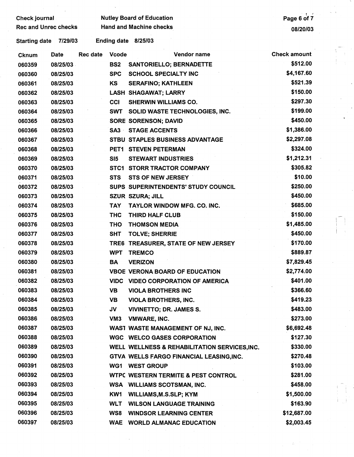| <b>Check journal</b><br><b>Rec and Unrec checks</b> |             |          | <b>Nutley Board of Education</b> | Page 6 of 7                                    |                     |
|-----------------------------------------------------|-------------|----------|----------------------------------|------------------------------------------------|---------------------|
|                                                     |             |          | <b>Hand and Machine checks</b>   | 08/20/03                                       |                     |
| <b>Starting date</b>                                | 7/29/03     |          | <b>Ending date</b>               | 8/25/03                                        |                     |
| <b>Cknum</b>                                        | <b>Date</b> | Rec date | <b>Vcode</b>                     | Vendor name                                    | <b>Check amount</b> |
| 060359                                              | 08/25/03    |          | BS <sub>2</sub>                  | <b>SANTORIELLO; BERNADETTE</b>                 | \$512.00            |
| 060360                                              | 08/25/03    |          | <b>SPC</b>                       | <b>SCHOOL SPECIALTY INC</b>                    | \$4,167.60          |
| 060361                                              | 08/25/03    |          | KS                               | <b>SERAFINO; KATHLEEN</b>                      | \$521.39            |
| 060362                                              | 08/25/03    |          |                                  | <b>LASH SHAGAWAT; LARRY</b>                    | \$150.00            |
| 060363                                              | 08/25/03    |          | CCI                              | <b>SHERWIN WILLIAMS CO.</b>                    | \$297.30            |
| 060364                                              | 08/25/03    |          | <b>SWT</b>                       | SOLID WASTE TECHNOLOGIES, INC.                 | \$199.00            |
| 060365                                              | 08/25/03    |          |                                  | <b>SORE SORENSON; DAVID</b>                    | \$450.00            |
| 060366                                              | 08/25/03    |          | $SA3 -$                          | <b>STAGE ACCENTS</b>                           | \$1,386.00          |
| 060367                                              | 08/25/03    |          |                                  | STBU STAPLES BUSINESS ADVANTAGE                | \$2,297.08          |
| 060368                                              | 08/25/03    |          |                                  | PET1 STEVEN PETERMAN                           | \$324.00            |
| 060369                                              | 08/25/03    |          | SI <sub>5</sub>                  | <b>STEWART INDUSTRIES</b>                      | \$1,212.31          |
| 060370                                              | 08/25/03    |          |                                  | STC1 STORR TRACTOR COMPANY                     | \$305.82            |
| 060371                                              | 08/25/03    |          | <b>STS</b>                       | <b>STS OF NEW JERSEY</b>                       | \$10.00             |
| 060372                                              | 08/25/03    |          |                                  | SUPS SUPERINTENDENTS' STUDY COUNCIL            | \$250.00            |
| 060373                                              | 08/25/03    |          |                                  | <b>SZUR SZURA; JILL</b>                        | \$450.00            |
| 060374                                              | 08/25/03    |          | <b>TAY</b>                       | TAYLOR WINDOW MFG. CO. INC.                    | \$685.00            |
| 060375                                              | 08/25/03    |          | <b>THC</b>                       | THIRD HALF CLUB                                | \$150.00            |
| 060376                                              | 08/25/03    |          | <b>THO</b>                       | <b>THOMSON MEDIA</b>                           | \$1,485.00          |
| 060377                                              | 08/25/03    |          | <b>SHT</b>                       | <b>TOLVE; SHERRIE</b>                          | \$450.00            |
| 060378                                              | 08/25/03    |          |                                  | TRE6 TREASURER, STATE OF NEW JERSEY            | \$170.00            |
| 060379                                              | 08/25/03    |          | <b>WPT</b>                       | <b>TREMCO</b>                                  | \$889.87            |
| 060380                                              | 08/25/03    |          | <b>BA</b>                        | <b>VERIZON</b>                                 | \$7,829.45          |
| 060381                                              | 08/25/03    |          |                                  | <b>VBOE VERONA BOARD OF EDUCATION</b>          | \$2,774.00          |
| 060382                                              | 08/25/03    |          |                                  | <b>VIDC VIDEO CORPORATION OF AMERICA</b>       | \$401.00            |
| 060383                                              | 08/25/03    |          | <b>VB</b>                        | <b>VIOLA BROTHERS INC</b>                      | \$366.60            |
| 060384                                              | 08/25/03    |          | VB.                              | <b>VIOLA BROTHERS, INC.</b>                    | \$419.23            |
| 060385                                              | 08/25/03    |          | JV -                             | <b>VIVINETTO; DR. JAMES S.</b>                 | \$483.00            |
| 060386                                              | 08/25/03    |          | VM <sub>3</sub>                  | <b>VMWARE, INC.</b>                            | \$273.00            |
| 060387                                              | 08/25/03    |          |                                  | WAST WASTE MANAGEMENT OF NJ, INC.              | \$6,692.48          |
| 060388                                              | 08/25/03    |          |                                  | <b>WGC WELCO GASES CORPORATION</b>             | \$127.30            |
| 060389                                              | 08/25/03    |          |                                  | WELL WELLNESS & REHABILITATION SERVICES, INC.  | \$330.00            |
| 060390                                              | 08/25/03    |          |                                  | GTVA WELLS FARGO FINANCIAL LEASING, INC.       | \$270.48            |
| 060391                                              | 08/25/03    |          |                                  | WG1 WEST GROUP                                 | \$103.00            |
| 060392                                              | 08/25/03    |          |                                  | <b>WTPC WESTERN TERMITE &amp; PEST CONTROL</b> | \$281.00            |
| 060393                                              | 08/25/03    |          |                                  | <b>WSA WILLIAMS SCOTSMAN, INC.</b>             | \$458.00            |
| 060394                                              | 08/25/03    |          | KW1                              | <b>WILLIAMS, M.S.SLP; KYM</b>                  | \$1,500.00          |
| 060395                                              | 08/25/03    |          | <b>WLT</b>                       | <b>WILSON LANGUAGE TRAINING</b>                | \$163.90            |
| 060396                                              | 08/25/03    |          | WS8                              | <b>WINDSOR LEARNING CENTER</b>                 | \$12,687.00         |
| 060397                                              | 08/25/03    |          | <b>WAE</b>                       | <b>WORLD ALMANAC EDUCATION</b>                 | \$2,003.45          |
|                                                     |             |          |                                  |                                                |                     |
|                                                     |             |          |                                  |                                                |                     |
|                                                     |             |          |                                  |                                                |                     |

 $\frac{1}{2} \left( \frac{1}{2} \right)$ 

 $\tilde{V}_{\rm{eff}}$ 

 $\frac{1}{\sqrt{2}}$